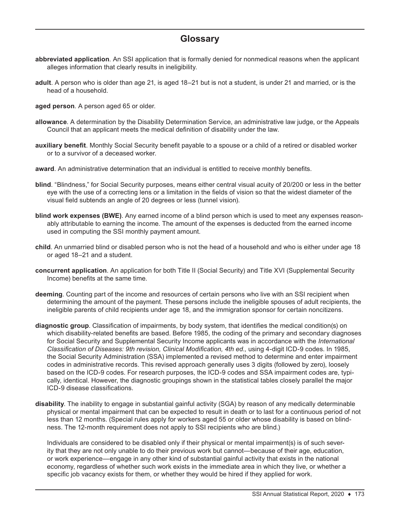## **Glossary**

- **abbreviated application**. An SSI application that is formally denied for nonmedical reasons when the applicant alleges information that clearly results in ineligibility.
- **adult**. A person who is older than age 21, is aged 18–21 but is not a student, is under 21 and married, or is the head of a household.
- **aged person**. A person aged 65 or older.
- **allowance**. A determination by the Disability Determination Service, an administrative law judge, or the Appeals Council that an applicant meets the medical definition of disability under the law.
- **auxiliary benefit**. Monthly Social Security benefit payable to a spouse or a child of a retired or disabled worker or to a survivor of a deceased worker.
- **award**. An administrative determination that an individual is entitled to receive monthly benefits.
- **blind**. "Blindness," for Social Security purposes, means either central visual acuity of 20/200 or less in the better eye with the use of a correcting lens or a limitation in the fields of vision so that the widest diameter of the visual field subtends an angle of 20 degrees or less (tunnel vision).
- **blind work expenses (BWE)**. Any earned income of a blind person which is used to meet any expenses reasonably attributable to earning the income. The amount of the expenses is deducted from the earned income used in computing the SSI monthly payment amount.
- **child**. An unmarried blind or disabled person who is not the head of a household and who is either under age 18 or aged 18–21 and a student.
- **concurrent application**. An application for both Title II (Social Security) and Title XVI (Supplemental Security Income) benefits at the same time.
- **deeming**. Counting part of the income and resources of certain persons who live with an SSI recipient when determining the amount of the payment. These persons include the ineligible spouses of adult recipients, the ineligible parents of child recipients under age 18, and the immigration sponsor for certain noncitizens.
- **diagnostic group**. Classification of impairments, by body system, that identifies the medical condition(s) on which disability-related benefits are based. Before 1985, the coding of the primary and secondary diagnoses for Social Security and Supplemental Security Income applicants was in accordance with the *International Classification of Diseases: 9th revision, Clinical Modification, 4th ed.,* using 4-digit ICD-9 codes. In 1985, the Social Security Administration (SSA) implemented a revised method to determine and enter impairment codes in administrative records. This revised approach generally uses 3 digits (followed by zero), loosely based on the ICD-9 codes. For research purposes, the ICD-9 codes and SSA impairment codes are, typically, identical. However, the diagnostic groupings shown in the statistical tables closely parallel the major ICD-9 disease classifications.
- **disability**. The inability to engage in substantial gainful activity (SGA) by reason of any medically determinable physical or mental impairment that can be expected to result in death or to last for a continuous period of not less than 12 months. (Special rules apply for workers aged 55 or older whose disability is based on blindness. The 12-month requirement does not apply to SSI recipients who are blind.)

Individuals are considered to be disabled only if their physical or mental impairment(s) is of such severity that they are not only unable to do their previous work but cannot—because of their age, education, or work experience—engage in any other kind of substantial gainful activity that exists in the national economy, regardless of whether such work exists in the immediate area in which they live, or whether a specific job vacancy exists for them, or whether they would be hired if they applied for work.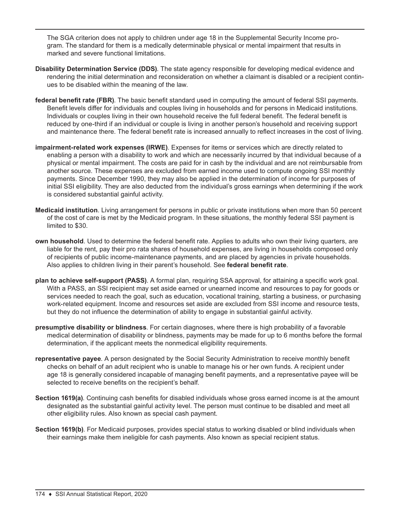The SGA criterion does not apply to children under age 18 in the Supplemental Security Income program. The standard for them is a medically determinable physical or mental impairment that results in marked and severe functional limitations.

- **Disability Determination Service (DDS)**. The state agency responsible for developing medical evidence and rendering the initial determination and reconsideration on whether a claimant is disabled or a recipient continues to be disabled within the meaning of the law.
- **federal benefit rate (FBR)**. The basic benefit standard used in computing the amount of federal SSI payments. Benefit levels differ for individuals and couples living in households and for persons in Medicaid institutions. Individuals or couples living in their own household receive the full federal benefit. The federal benefit is reduced by one-third if an individual or couple is living in another person's household and receiving support and maintenance there. The federal benefit rate is increased annually to reflect increases in the cost of living.
- **impairment-related work expenses (IRWE)**. Expenses for items or services which are directly related to enabling a person with a disability to work and which are necessarily incurred by that individual because of a physical or mental impairment. The costs are paid for in cash by the individual and are not reimbursable from another source. These expenses are excluded from earned income used to compute ongoing SSI monthly payments. Since December 1990, they may also be applied in the determination of income for purposes of initial SSI eligibility. They are also deducted from the individual's gross earnings when determining if the work is considered substantial gainful activity.
- **Medicaid institution**. Living arrangement for persons in public or private institutions when more than 50 percent of the cost of care is met by the Medicaid program. In these situations, the monthly federal SSI payment is limited to \$30.
- **own household**. Used to determine the federal benefit rate. Applies to adults who own their living quarters, are liable for the rent, pay their pro rata shares of household expenses, are living in households composed only of recipients of public income-maintenance payments, and are placed by agencies in private households. Also applies to children living in their parent's household. See **federal benefit rate**.
- **plan to achieve self-support (PASS)**. A formal plan, requiring SSA approval, for attaining a specific work goal. With a PASS, an SSI recipient may set aside earned or unearned income and resources to pay for goods or services needed to reach the goal, such as education, vocational training, starting a business, or purchasing work-related equipment. Income and resources set aside are excluded from SSI income and resource tests, but they do not influence the determination of ability to engage in substantial gainful activity.
- **presumptive disability or blindness**. For certain diagnoses, where there is high probability of a favorable medical determination of disability or blindness, payments may be made for up to 6 months before the formal determination, if the applicant meets the nonmedical eligibility requirements.
- **representative payee**. A person designated by the Social Security Administration to receive monthly benefit checks on behalf of an adult recipient who is unable to manage his or her own funds. A recipient under age 18 is generally considered incapable of managing benefit payments, and a representative payee will be selected to receive benefits on the recipient's behalf.
- **Section 1619(a)**. Continuing cash benefits for disabled individuals whose gross earned income is at the amount designated as the substantial gainful activity level. The person must continue to be disabled and meet all other eligibility rules. Also known as special cash payment.
- **Section 1619(b)**. For Medicaid purposes, provides special status to working disabled or blind individuals when their earnings make them ineligible for cash payments. Also known as special recipient status.